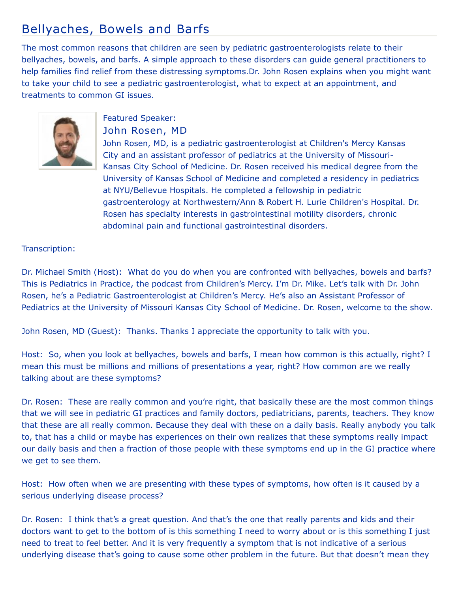## Bellyaches, Bowels and Barfs

The most common reasons that children are seen by pediatric gastroenterologists relate to their bellyaches, bowels, and barfs. A simple approach to these disorders can guide general practitioners to help families find relief from these distressing symptoms.Dr. John Rosen explains when you might want to take your child to see a pediatric gastroenterologist, what to expect at an appointment, and treatments to common GI issues.



## Featured Speaker: John Rosen, MD

John Rosen, MD, is a pediatric gastroenterologist at Children's Mercy Kansas City and an assistant professor of pediatrics at the University of Missouri-Kansas City School of Medicine. Dr. Rosen received his medical degree from the University of Kansas School of Medicine and completed a residency in pediatrics at NYU/Bellevue Hospitals. He completed a fellowship in pediatric gastroenterology at Northwestern/Ann & Robert H. Lurie Children's Hospital. Dr. Rosen has specialty interests in gastrointestinal motility disorders, chronic abdominal pain and functional gastrointestinal disorders.

## Transcription:

Dr. Michael Smith (Host): What do you do when you are confronted with bellyaches, bowels and barfs? This is Pediatrics in Practice, the podcast from Children's Mercy. I'm Dr. Mike. Let's talk with Dr. John Rosen, he's a Pediatric Gastroenterologist at Children's Mercy. He's also an Assistant Professor of Pediatrics at the University of Missouri Kansas City School of Medicine. Dr. Rosen, welcome to the show.

John Rosen, MD (Guest): Thanks. Thanks I appreciate the opportunity to talk with you.

Host: So, when you look at bellyaches, bowels and barfs, I mean how common is this actually, right? I mean this must be millions and millions of presentations a year, right? How common are we really talking about are these symptoms?

Dr. Rosen: These are really common and you're right, that basically these are the most common things that we will see in pediatric GI practices and family doctors, pediatricians, parents, teachers. They know that these are all really common. Because they deal with these on a daily basis. Really anybody you talk to, that has a child or maybe has experiences on their own realizes that these symptoms really impact our daily basis and then a fraction of those people with these symptoms end up in the GI practice where we get to see them.

Host: How often when we are presenting with these types of symptoms, how often is it caused by a serious underlying disease process?

Dr. Rosen: I think that's a great question. And that's the one that really parents and kids and their doctors want to get to the bottom of is this something I need to worry about or is this something I just need to treat to feel better. And it is very frequently a symptom that is not indicative of a serious underlying disease that's going to cause some other problem in the future. But that doesn't mean they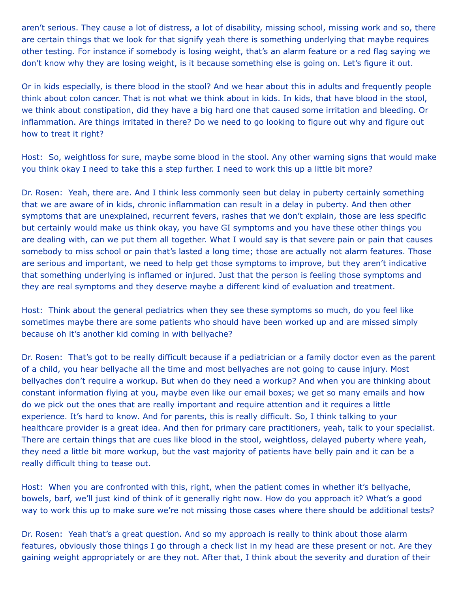aren't serious. They cause a lot of distress, a lot of disability, missing school, missing work and so, there are certain things that we look for that signify yeah there is something underlying that maybe requires other testing. For instance if somebody is losing weight, that's an alarm feature or a red flag saying we don't know why they are losing weight, is it because something else is going on. Let's figure it out.

Or in kids especially, is there blood in the stool? And we hear about this in adults and frequently people think about colon cancer. That is not what we think about in kids. In kids, that have blood in the stool, we think about constipation, did they have a big hard one that caused some irritation and bleeding. Or inflammation. Are things irritated in there? Do we need to go looking to figure out why and figure out how to treat it right?

Host: So, weightloss for sure, maybe some blood in the stool. Any other warning signs that would make you think okay I need to take this a step further. I need to work this up a little bit more?

Dr. Rosen: Yeah, there are. And I think less commonly seen but delay in puberty certainly something that we are aware of in kids, chronic inflammation can result in a delay in puberty. And then other symptoms that are unexplained, recurrent fevers, rashes that we don't explain, those are less specific but certainly would make us think okay, you have GI symptoms and you have these other things you are dealing with, can we put them all together. What I would say is that severe pain or pain that causes somebody to miss school or pain that's lasted a long time; those are actually not alarm features. Those are serious and important, we need to help get those symptoms to improve, but they aren't indicative that something underlying is inflamed or injured. Just that the person is feeling those symptoms and they are real symptoms and they deserve maybe a different kind of evaluation and treatment.

Host: Think about the general pediatrics when they see these symptoms so much, do you feel like sometimes maybe there are some patients who should have been worked up and are missed simply because oh it's another kid coming in with bellyache?

Dr. Rosen: That's got to be really difficult because if a pediatrician or a family doctor even as the parent of a child, you hear bellyache all the time and most bellyaches are not going to cause injury. Most bellyaches don't require a workup. But when do they need a workup? And when you are thinking about constant information flying at you, maybe even like our email boxes; we get so many emails and how do we pick out the ones that are really important and require attention and it requires a little experience. It's hard to know. And for parents, this is really difficult. So, I think talking to your healthcare provider is a great idea. And then for primary care practitioners, yeah, talk to your specialist. There are certain things that are cues like blood in the stool, weightloss, delayed puberty where yeah, they need a little bit more workup, but the vast majority of patients have belly pain and it can be a really difficult thing to tease out.

Host: When you are confronted with this, right, when the patient comes in whether it's bellyache, bowels, barf, we'll just kind of think of it generally right now. How do you approach it? What's a good way to work this up to make sure we're not missing those cases where there should be additional tests?

Dr. Rosen: Yeah that's a great question. And so my approach is really to think about those alarm features, obviously those things I go through a check list in my head are these present or not. Are they gaining weight appropriately or are they not. After that, I think about the severity and duration of their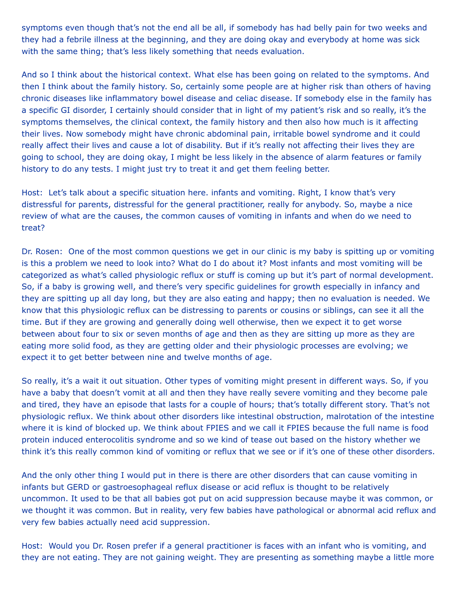symptoms even though that's not the end all be all, if somebody has had belly pain for two weeks and they had a febrile illness at the beginning, and they are doing okay and everybody at home was sick with the same thing; that's less likely something that needs evaluation.

And so I think about the historical context. What else has been going on related to the symptoms. And then I think about the family history. So, certainly some people are at higher risk than others of having chronic diseases like inflammatory bowel disease and celiac disease. If somebody else in the family has a specific GI disorder, I certainly should consider that in light of my patient's risk and so really, it's the symptoms themselves, the clinical context, the family history and then also how much is it affecting their lives. Now somebody might have chronic abdominal pain, irritable bowel syndrome and it could really affect their lives and cause a lot of disability. But if it's really not affecting their lives they are going to school, they are doing okay, I might be less likely in the absence of alarm features or family history to do any tests. I might just try to treat it and get them feeling better.

Host: Let's talk about a specific situation here. infants and vomiting. Right, I know that's very distressful for parents, distressful for the general practitioner, really for anybody. So, maybe a nice review of what are the causes, the common causes of vomiting in infants and when do we need to treat?

Dr. Rosen: One of the most common questions we get in our clinic is my baby is spitting up or vomiting is this a problem we need to look into? What do I do about it? Most infants and most vomiting will be categorized as what's called physiologic reflux or stuff is coming up but it's part of normal development. So, if a baby is growing well, and there's very specific guidelines for growth especially in infancy and they are spitting up all day long, but they are also eating and happy; then no evaluation is needed. We know that this physiologic reflux can be distressing to parents or cousins or siblings, can see it all the time. But if they are growing and generally doing well otherwise, then we expect it to get worse between about four to six or seven months of age and then as they are sitting up more as they are eating more solid food, as they are getting older and their physiologic processes are evolving; we expect it to get better between nine and twelve months of age.

So really, it's a wait it out situation. Other types of vomiting might present in different ways. So, if you have a baby that doesn't vomit at all and then they have really severe vomiting and they become pale and tired, they have an episode that lasts for a couple of hours; that's totally different story. That's not physiologic reflux. We think about other disorders like intestinal obstruction, malrotation of the intestine where it is kind of blocked up. We think about FPIES and we call it FPIES because the full name is food protein induced enterocolitis syndrome and so we kind of tease out based on the history whether we think it's this really common kind of vomiting or reflux that we see or if it's one of these other disorders.

And the only other thing I would put in there is there are other disorders that can cause vomiting in infants but GERD or gastroesophageal reflux disease or acid reflux is thought to be relatively uncommon. It used to be that all babies got put on acid suppression because maybe it was common, or we thought it was common. But in reality, very few babies have pathological or abnormal acid reflux and very few babies actually need acid suppression.

Host: Would you Dr. Rosen prefer if a general practitioner is faces with an infant who is vomiting, and they are not eating. They are not gaining weight. They are presenting as something maybe a little more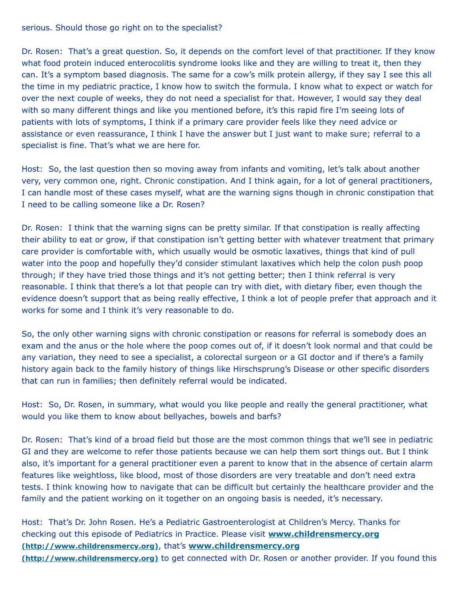serious. Should those go right on to the specialist?

Dr. Rosen: That's a great question. So, it depends on the comfort level of that practitioner. If they know what food protein induced enterocolitis syndrome looks like and they are willing to treat it, then they can. It's a symptom based diagnosis. The same for a cow's milk protein allergy, if they say I see this all the time in my pediatric practice, I know how to switch the formula. I know what to expect or watch for over the next couple of weeks, they do not need a specialist for that. However, I would say they deal with so many different things and like you mentioned before, it's this rapid fire I'm seeing lots of patients with lots of symptoms, I think if a primary care provider feels like they need advice or assistance or even reassurance, I think I have the answer but I just want to make sure; referral to a specialist is fine. That's what we are here for.

Host: So, the last question then so moving away from infants and vomiting, let's talk about another very, very common one, right. Chronic constipation. And I think again, for a lot of general practitioners, I can handle most of these cases myself, what are the warning signs though in chronic constipation that I need to be calling someone like a Dr. Rosen?

Dr. Rosen: I think that the warning signs can be pretty similar. If that constipation is really affecting their ability to eat or grow, if that constipation isn't getting better with whatever treatment that primary care provider is comfortable with, which usually would be osmotic laxatives, things that kind of pull water into the poop and hopefully they'd consider stimulant laxatives which help the colon push poop through; if they have tried those things and it's not getting better; then I think referral is very reasonable. I think that there's a lot that people can try with diet, with dietary fiber, even though the evidence doesn't support that as being really effective, I think a lot of people prefer that approach and it works for some and I think it's very reasonable to do.

So, the only other warning signs with chronic constipation or reasons for referral is somebody does an exam and the anus or the hole where the poop comes out of, if it doesn't look normal and that could be any variation, they need to see a specialist, a colorectal surgeon or a GI doctor and if there's a family history again back to the family history of things like Hirschsprung's Disease or other specific disorders that can run in families; then definitely referral would be indicated.

Host: So, Dr. Rosen, in summary, what would you like people and really the general practitioner, what would you like them to know about bellyaches, bowels and barfs?

Dr. Rosen: That's kind of a broad field but those are the most common things that we'll see in pediatric GI and they are welcome to refer those patients because we can help them sort things out. But I think also, it's important for a general practitioner even a parent to know that in the absence of certain alarm features like weightloss, like blood, most of those disorders are very treatable and don't need extra tests. I think knowing how to navigate that can be difficult but certainly the healthcare provider and the family and the patient working on it together on an ongoing basis is needed, it's necessary.

Host: That's Dr. John Rosen. He's a Pediatric Gastroenterologist at Children's Mercy. Thanks for [checking out this episode of Pediatrics in Practice. Please visit](http://www.childrensmercy.org/) **www.childrensmercy.org (http://www.childrensmercy.org)**, that's **www.childrensmercy.org (http://www.childrensmercy.org)** [to get connected with Dr. Rosen or](http://www.childrensmercy.org/) another provider. If you found this